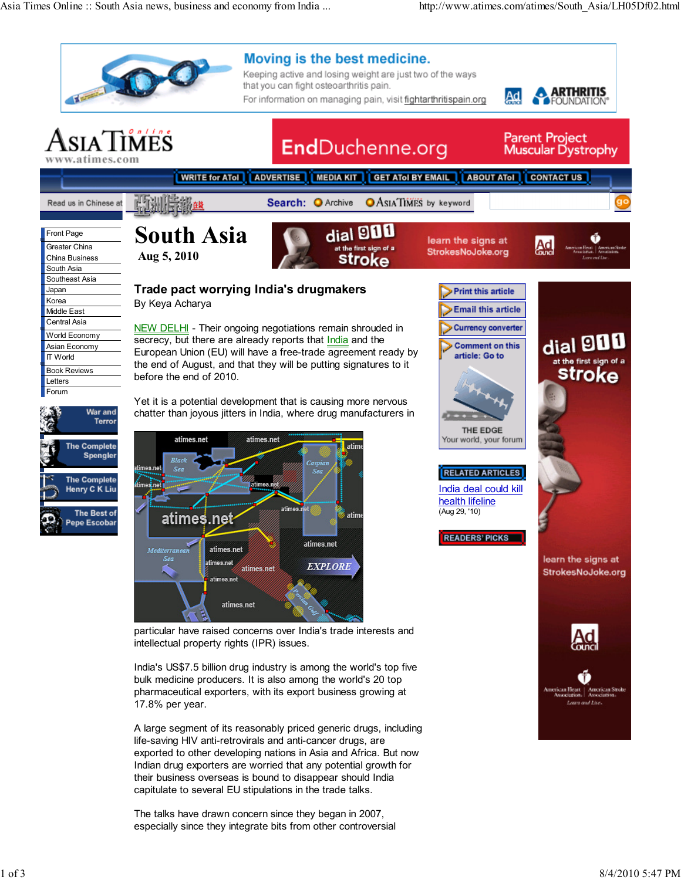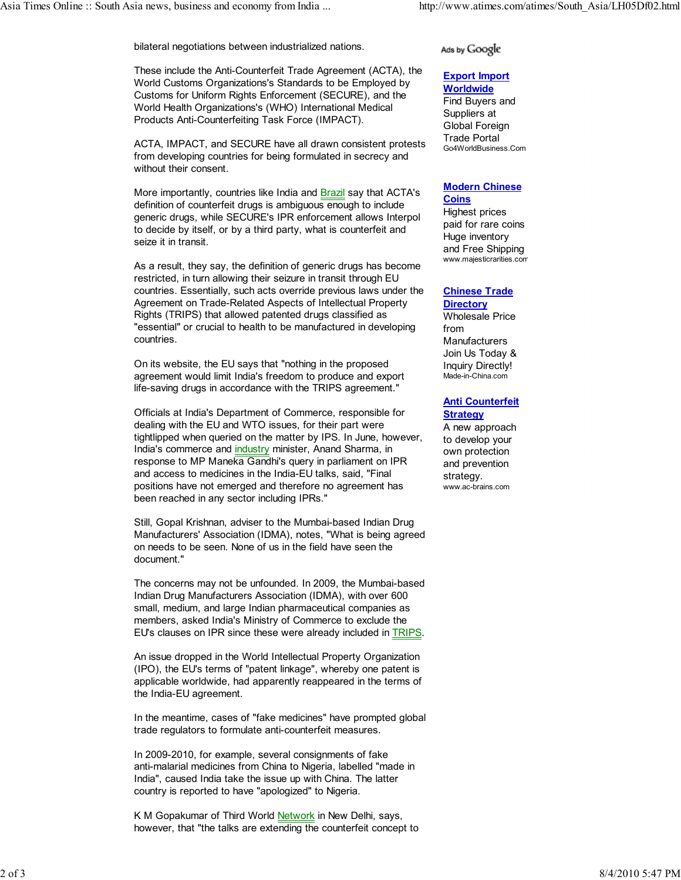bilateral negotiations between industrialized nations.

These include the Anti-Counterfeit Trade Agreement (ACTA), the World Customs Organizations's Standards to be Employed by Customs for Uniform Rights Enforcement (SECURE), and the World Health Organizations's (WHO) International Medical Products Anti-Counterfeiting Task Force (IMPACT).

ACTA, IMPACT, and SECURE have all drawn consistent protests from developing countries for being formulated in secrecy and without their consent.

More importantly, countries like India and Brazil say that ACTA's definition of counterfeit drugs is ambiguous enough to include generic drugs, while SECURE's IPR enforcement allows Interpol to decide by itself, or by a third party, what is counterfeit and seize it in transit.

As a result, they say, the definition of generic drugs has become restricted, in turn allowing their seizure in transit through EU countries. Essentially, such acts override previous laws under the Agreement on Trade-Related Aspects of Intellectual Property Rights (TRIPS) that allowed patented drugs classified as "essential" or crucial to health to be manufactured in developing countries.

On its website, the EU says that "nothing in the proposed agreement would limit India's freedom to produce and export life-saving drugs in accordance with the TRIPS agreement."

Officials at India's Department of Commerce, responsible for dealing with the EU and WTO issues, for their part were tightlipped when queried on the matter by IPS. In June, however, India's commerce and industry minister, Anand Sharma, in response to MP Maneka Gandhi's query in parliament on IPR and access to medicines in the India-EU talks, said, "Final positions have not emerged and therefore no agreement has been reached in any sector including IPRs."

Still, Gopal Krishnan, adviser to the Mumbai-based Indian Drug Manufacturers' Association (IDMA), notes, "What is being agreed on needs to be seen. None of us in the field have seen the document."

The concerns may not be unfounded. In 2009, the Mumbai-based Indian Drug Manufacturers Association (IDMA), with over 600 small, medium, and large Indian pharmaceutical companies as members, asked India's Ministry of Commerce to exclude the EU's clauses on IPR since these were already included in TRIPS.

An issue dropped in the World Intellectual Property Organization (IPO), the EU's terms of "patent linkage", whereby one patent is applicable worldwide, had apparently reappeared in the terms of the India-EU agreement.

In the meantime, cases of "fake medicines" have prompted global trade regulators to formulate anti-counterfeit measures.

In 2009-2010, for example, several consignments of fake anti-malarial medicines from China to Nigeria, labelled "made in India", caused India take the issue up with China. The latter country is reported to have "apologized" to Nigeria.

K M Gopakumar of Third World Network in New Delhi, says, however, that "the talks are extending the counterfeit concept to

## Ads by Google

#### Export Import **Worldwide**

Find Buyers and Suppliers at Global Foreign Trade Portal Go4WorldBusiness.Com

#### Modern Chinese **Coins**

Highest prices paid for rare coins Huge inventory and Free Shipping www.majesticrarities.com

#### Chinese Trade **Directory**

Wholesale Price from Manufacturers Join Us Today & Inquiry Directly! Made-in-China.com

## Anti Counterfeit **Strategy**

A new approach to develop your own protection and prevention strategy. www.ac-brains.com